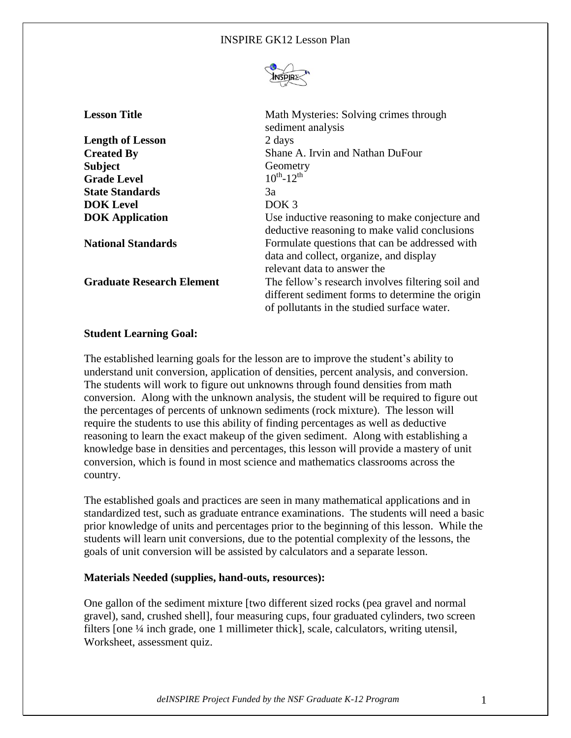

| <b>Lesson Title</b>              | Math Mysteries: Solving crimes through<br>sediment analysis                                                                                          |
|----------------------------------|------------------------------------------------------------------------------------------------------------------------------------------------------|
| <b>Length of Lesson</b>          | 2 days                                                                                                                                               |
| <b>Created By</b>                | Shane A. Irvin and Nathan DuFour                                                                                                                     |
| <b>Subject</b>                   | Geometry                                                                                                                                             |
| <b>Grade Level</b>               | $10^{th} - 12^{th}$                                                                                                                                  |
| <b>State Standards</b>           | 3a                                                                                                                                                   |
| <b>DOK</b> Level                 | DOK <sub>3</sub>                                                                                                                                     |
| <b>DOK</b> Application           | Use inductive reasoning to make conjecture and<br>deductive reasoning to make valid conclusions                                                      |
| <b>National Standards</b>        | Formulate questions that can be addressed with<br>data and collect, organize, and display<br>relevant data to answer the                             |
| <b>Graduate Research Element</b> | The fellow's research involves filtering soil and<br>different sediment forms to determine the origin<br>of pollutants in the studied surface water. |

# **Student Learning Goal:**

The established learning goals for the lesson are to improve the student's ability to understand unit conversion, application of densities, percent analysis, and conversion. The students will work to figure out unknowns through found densities from math conversion. Along with the unknown analysis, the student will be required to figure out the percentages of percents of unknown sediments (rock mixture). The lesson will require the students to use this ability of finding percentages as well as deductive reasoning to learn the exact makeup of the given sediment. Along with establishing a knowledge base in densities and percentages, this lesson will provide a mastery of unit conversion, which is found in most science and mathematics classrooms across the country.

The established goals and practices are seen in many mathematical applications and in standardized test, such as graduate entrance examinations. The students will need a basic prior knowledge of units and percentages prior to the beginning of this lesson. While the students will learn unit conversions, due to the potential complexity of the lessons, the goals of unit conversion will be assisted by calculators and a separate lesson.

## **Materials Needed (supplies, hand-outs, resources):**

One gallon of the sediment mixture [two different sized rocks (pea gravel and normal gravel), sand, crushed shell], four measuring cups, four graduated cylinders, two screen filters [one ¼ inch grade, one 1 millimeter thick], scale, calculators, writing utensil, Worksheet, assessment quiz.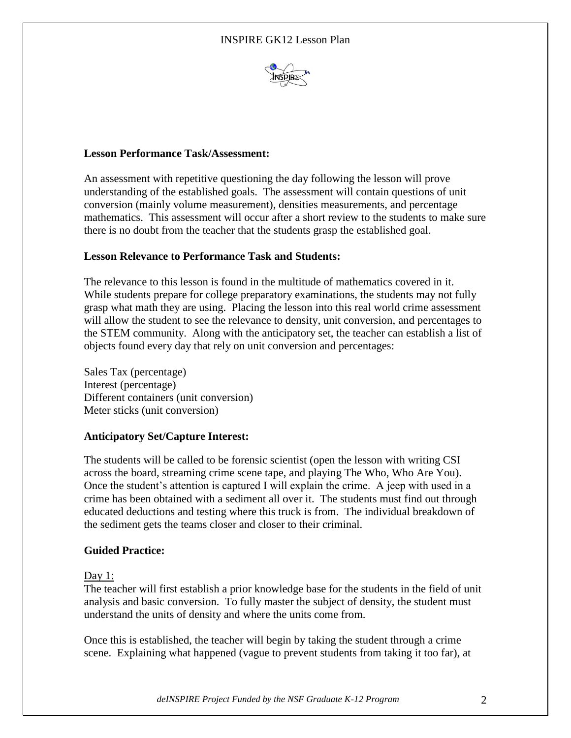

# **Lesson Performance Task/Assessment:**

An assessment with repetitive questioning the day following the lesson will prove understanding of the established goals. The assessment will contain questions of unit conversion (mainly volume measurement), densities measurements, and percentage mathematics. This assessment will occur after a short review to the students to make sure there is no doubt from the teacher that the students grasp the established goal.

# **Lesson Relevance to Performance Task and Students:**

The relevance to this lesson is found in the multitude of mathematics covered in it. While students prepare for college preparatory examinations, the students may not fully grasp what math they are using. Placing the lesson into this real world crime assessment will allow the student to see the relevance to density, unit conversion, and percentages to the STEM community. Along with the anticipatory set, the teacher can establish a list of objects found every day that rely on unit conversion and percentages:

Sales Tax (percentage) Interest (percentage) Different containers (unit conversion) Meter sticks (unit conversion)

# **Anticipatory Set/Capture Interest:**

The students will be called to be forensic scientist (open the lesson with writing CSI across the board, streaming crime scene tape, and playing The Who, Who Are You). Once the student's attention is captured I will explain the crime. A jeep with used in a crime has been obtained with a sediment all over it. The students must find out through educated deductions and testing where this truck is from. The individual breakdown of the sediment gets the teams closer and closer to their criminal.

# **Guided Practice:**

## Day 1:

The teacher will first establish a prior knowledge base for the students in the field of unit analysis and basic conversion. To fully master the subject of density, the student must understand the units of density and where the units come from.

Once this is established, the teacher will begin by taking the student through a crime scene. Explaining what happened (vague to prevent students from taking it too far), at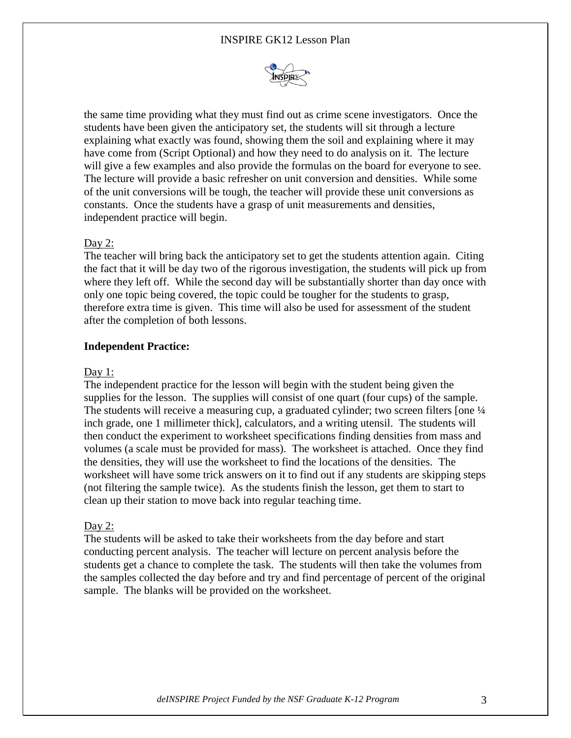## INSPIRE GK12 Lesson Plan



the same time providing what they must find out as crime scene investigators. Once the students have been given the anticipatory set, the students will sit through a lecture explaining what exactly was found, showing them the soil and explaining where it may have come from (Script Optional) and how they need to do analysis on it. The lecture will give a few examples and also provide the formulas on the board for everyone to see. The lecture will provide a basic refresher on unit conversion and densities. While some of the unit conversions will be tough, the teacher will provide these unit conversions as constants. Once the students have a grasp of unit measurements and densities, independent practice will begin.

#### Day 2:

The teacher will bring back the anticipatory set to get the students attention again. Citing the fact that it will be day two of the rigorous investigation, the students will pick up from where they left off. While the second day will be substantially shorter than day once with only one topic being covered, the topic could be tougher for the students to grasp, therefore extra time is given. This time will also be used for assessment of the student after the completion of both lessons.

#### **Independent Practice:**

#### Day 1:

The independent practice for the lesson will begin with the student being given the supplies for the lesson. The supplies will consist of one quart (four cups) of the sample. The students will receive a measuring cup, a graduated cylinder; two screen filters [one  $\frac{1}{4}$ ] inch grade, one 1 millimeter thick], calculators, and a writing utensil. The students will then conduct the experiment to worksheet specifications finding densities from mass and volumes (a scale must be provided for mass). The worksheet is attached. Once they find the densities, they will use the worksheet to find the locations of the densities. The worksheet will have some trick answers on it to find out if any students are skipping steps (not filtering the sample twice). As the students finish the lesson, get them to start to clean up their station to move back into regular teaching time.

#### Day 2:

The students will be asked to take their worksheets from the day before and start conducting percent analysis. The teacher will lecture on percent analysis before the students get a chance to complete the task. The students will then take the volumes from the samples collected the day before and try and find percentage of percent of the original sample. The blanks will be provided on the worksheet.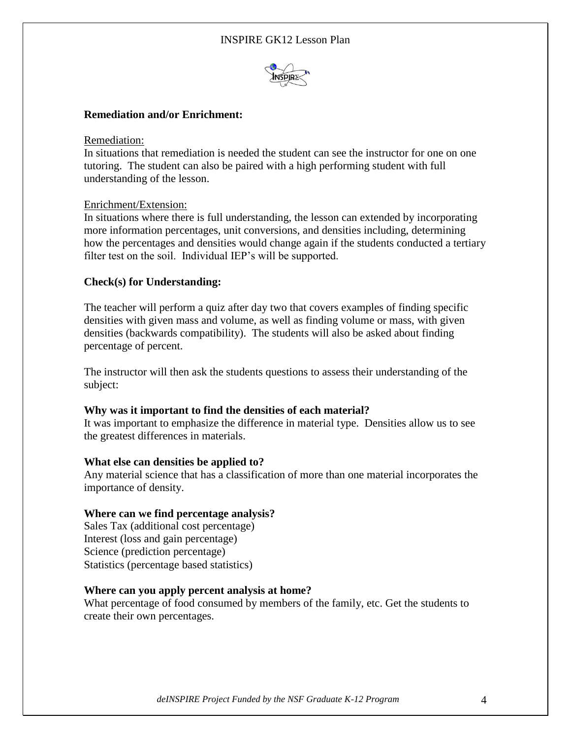

## **Remediation and/or Enrichment:**

Remediation:

In situations that remediation is needed the student can see the instructor for one on one tutoring. The student can also be paired with a high performing student with full understanding of the lesson.

#### Enrichment/Extension:

In situations where there is full understanding, the lesson can extended by incorporating more information percentages, unit conversions, and densities including, determining how the percentages and densities would change again if the students conducted a tertiary filter test on the soil. Individual IEP's will be supported.

### **Check(s) for Understanding:**

The teacher will perform a quiz after day two that covers examples of finding specific densities with given mass and volume, as well as finding volume or mass, with given densities (backwards compatibility). The students will also be asked about finding percentage of percent.

The instructor will then ask the students questions to assess their understanding of the subject:

#### **Why was it important to find the densities of each material?**

It was important to emphasize the difference in material type. Densities allow us to see the greatest differences in materials.

### **What else can densities be applied to?**

Any material science that has a classification of more than one material incorporates the importance of density.

#### **Where can we find percentage analysis?**

Sales Tax (additional cost percentage) Interest (loss and gain percentage) Science (prediction percentage) Statistics (percentage based statistics)

#### **Where can you apply percent analysis at home?**

What percentage of food consumed by members of the family, etc. Get the students to create their own percentages.